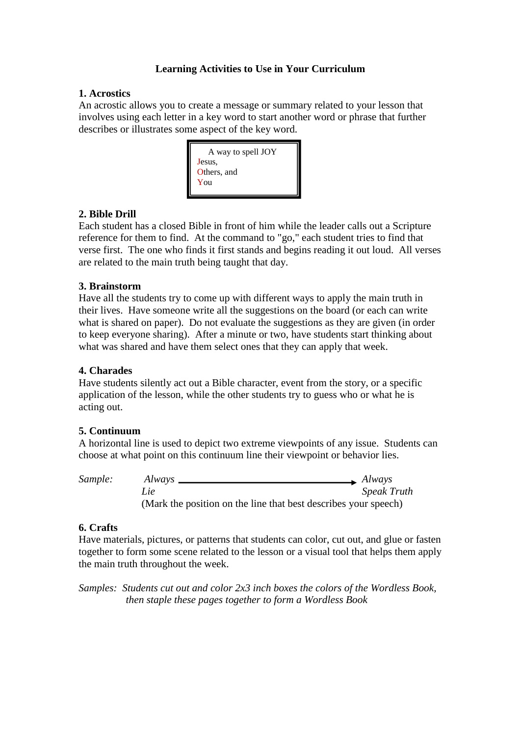## **Learning Activities to Use in Your Curriculum**

### **1. Acrostics**

An acrostic allows you to create a message or summary related to your lesson that involves using each letter in a key word to start another word or phrase that further describes or illustrates some aspect of the key word.



### **2. Bible Drill**

Each student has a closed Bible in front of him while the leader calls out a Scripture reference for them to find. At the command to "go," each student tries to find that verse first. The one who finds it first stands and begins reading it out loud. All verses are related to the main truth being taught that day.

### **3. Brainstorm**

Have all the students try to come up with different ways to apply the main truth in their lives. Have someone write all the suggestions on the board (or each can write what is shared on paper). Do not evaluate the suggestions as they are given (in order to keep everyone sharing). After a minute or two, have students start thinking about what was shared and have them select ones that they can apply that week.

## **4. Charades**

Have students silently act out a Bible character, event from the story, or a specific application of the lesson, while the other students try to guess who or what he is acting out.

## **5. Continuum**

A horizontal line is used to depict two extreme viewpoints of any issue. Students can choose at what point on this continuum line their viewpoint or behavior lies.

*Sample: Always Always Lie Speak Truth* (Mark the position on the line that best describes your speech)

#### **6. Crafts**

Have materials, pictures, or patterns that students can color, cut out, and glue or fasten together to form some scene related to the lesson or a visual tool that helps them apply the main truth throughout the week.

*Samples: Students cut out and color 2x3 inch boxes the colors of the Wordless Book, then staple these pages together to form a Wordless Book*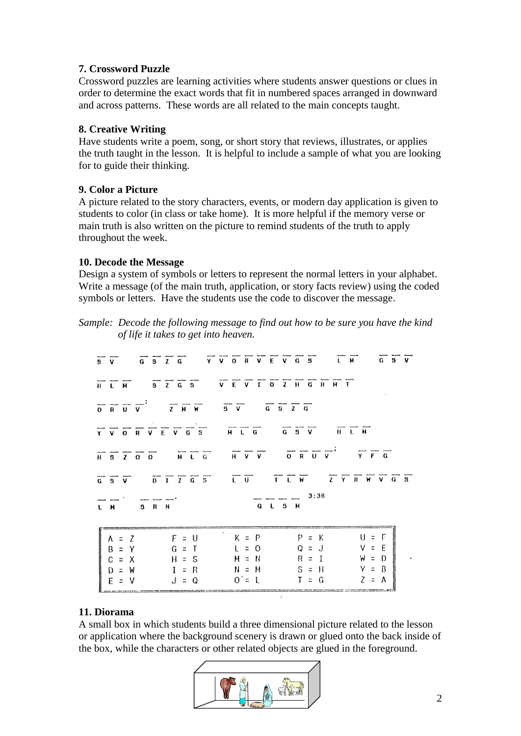## **7. Crossword Puzzle**

Crossword puzzles are learning activities where students answer questions or clues in order to determine the exact words that fit in numbered spaces arranged in downward and across patterns. These words are all related to the main concepts taught.

## **8. Creative Writing**

Have students write a poem, song, or short story that reviews, illustrates, or applies the truth taught in the lesson. It is helpful to include a sample of what you are looking for to guide their thinking.

# **9. Color a Picture**

A picture related to the story characters, events, or modern day application is given to students to color (in class or take home). It is more helpful if the memory verse or main truth is also written on the picture to remind students of the truth to apply throughout the week.

# **10. Decode the Message**

Design a system of symbols or letters to represent the normal letters in your alphabet. Write a message (of the main truth, application, or story facts review) using the coded symbols or letters. Have the students use the code to discover the message.

*Sample: Decode the following message to find out how to be sure you have the kind of life it takes to get into heaven.*

|                                                                                                                                                                                                                                                                                                                     | $\overline{S}$ $\overline{V}$ $\overline{G}$ $\overline{S}$ $\overline{C}$ $\overline{C}$ $\overline{V}$ $\overline{V}$ $\overline{O}$ $\overline{R}$ $\overline{V}$ $\overline{C}$ $\overline{S}$ $\overline{S}$ $\overline{C}$ $\overline{S}$ $\overline{C}$ $\overline{S}$ $\overline{C}$ $\overline{S}$ $\overline{C}$ $\overline{S}$ $\overline{C}$ $\overline{S}$ $\overline{$ |
|---------------------------------------------------------------------------------------------------------------------------------------------------------------------------------------------------------------------------------------------------------------------------------------------------------------------|--------------------------------------------------------------------------------------------------------------------------------------------------------------------------------------------------------------------------------------------------------------------------------------------------------------------------------------------------------------------------------------|
|                                                                                                                                                                                                                                                                                                                     | $\begin{array}{cccccccccccccc} \overline{H} & \overline{L} & \overline{H} & & \overline{S} & \overline{Z} & \overline{G} & \overline{S} & & \overline{V} & \overline{E} & \overline{V} & \overline{I} & \overline{O} & \overline{Z} & \overline{H} & \overline{G} & \overline{R} & \overline{H} & \overline{I} \\ \end{array}$                                                       |
|                                                                                                                                                                                                                                                                                                                     | $\frac{1}{\sqrt{2}}$                                                                                                                                                                                                                                                                                                                                                                 |
|                                                                                                                                                                                                                                                                                                                     | $\frac{1}{Y}$ $\frac{1}{Y}$ $\frac{1}{Y}$ $\frac{1}{Y}$ $\frac{1}{Y}$ $\frac{1}{Y}$ $\frac{1}{Y}$ $\frac{1}{Y}$ $\frac{1}{Y}$ $\frac{1}{Y}$ $\frac{1}{Y}$ $\frac{1}{Y}$ $\frac{1}{Y}$ $\frac{1}{Y}$ $\frac{1}{Y}$ $\frac{1}{Y}$ $\frac{1}{Y}$ $\frac{1}{Y}$ $\frac{1}{Y}$ $\frac{1}{Y}$ $\frac{1}{Y}$ $\frac{1}{Y}$                                                                  |
|                                                                                                                                                                                                                                                                                                                     | $\frac{1}{\sqrt{1}} \frac{1}{\sqrt{2}} \frac{1}{\sqrt{2}} \frac{1}{\sqrt{2}} \frac{1}{\sqrt{2}}$                                                                                                                                                                                                                                                                                     |
|                                                                                                                                                                                                                                                                                                                     | $\frac{1}{G}$ $\frac{1}{G}$ $\frac{1}{G}$ $\frac{1}{G}$ $\frac{1}{G}$ $\frac{1}{G}$ $\frac{1}{G}$ $\frac{1}{G}$ $\frac{1}{G}$ $\frac{1}{G}$ $\frac{1}{G}$ $\frac{1}{G}$ $\frac{1}{G}$ $\frac{1}{G}$ $\frac{1}{G}$ $\frac{1}{G}$ $\frac{1}{G}$ $\frac{1}{G}$ $\frac{1}{G}$                                                                                                            |
| $\frac{1}{2}$ $\frac{1}{2}$ $\frac{1}{2}$ $\frac{1}{2}$ $\frac{1}{2}$ $\frac{1}{2}$ $\frac{1}{2}$ $\frac{1}{2}$ $\frac{1}{2}$ $\frac{1}{2}$ $\frac{1}{2}$ $\frac{1}{2}$ $\frac{1}{2}$ $\frac{1}{2}$ $\frac{1}{2}$ $\frac{1}{2}$ $\frac{1}{2}$ $\frac{1}{2}$ $\frac{1}{2}$ $\frac{1}{2}$ $\frac{1}{2}$ $\frac{1}{2}$ | $\frac{1}{q} - \frac{1}{s} - \frac{3:38}{H}$                                                                                                                                                                                                                                                                                                                                         |
|                                                                                                                                                                                                                                                                                                                     |                                                                                                                                                                                                                                                                                                                                                                                      |
|                                                                                                                                                                                                                                                                                                                     |                                                                                                                                                                                                                                                                                                                                                                                      |
|                                                                                                                                                                                                                                                                                                                     |                                                                                                                                                                                                                                                                                                                                                                                      |
|                                                                                                                                                                                                                                                                                                                     |                                                                                                                                                                                                                                                                                                                                                                                      |
|                                                                                                                                                                                                                                                                                                                     |                                                                                                                                                                                                                                                                                                                                                                                      |
|                                                                                                                                                                                                                                                                                                                     | $J = Q$ $Q = L$ $T = G$                                                                                                                                                                                                                                                                                                                                                              |
|                                                                                                                                                                                                                                                                                                                     | ■2                                                                                                                                                                                                                                                                                                                                                                                   |

## **11. Diorama**

A small box in which students build a three dimensional picture related to the lesson or application where the background scenery is drawn or glued onto the back inside of the box, while the characters or other related objects are glued in the foreground.

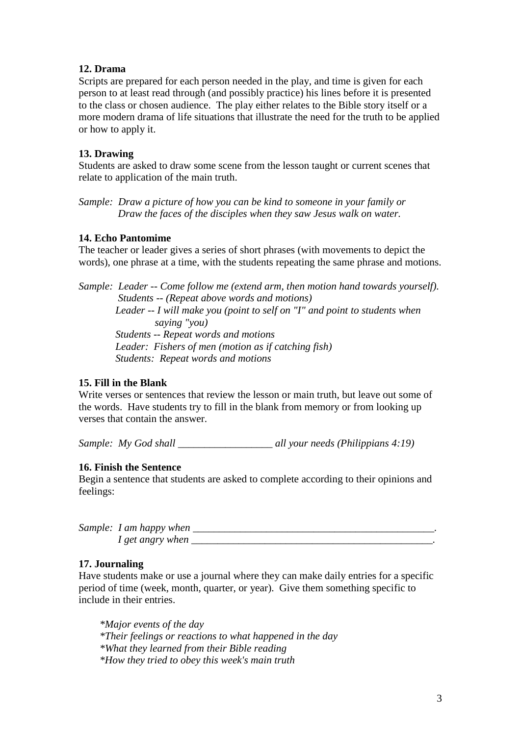### **12. Drama**

Scripts are prepared for each person needed in the play, and time is given for each person to at least read through (and possibly practice) his lines before it is presented to the class or chosen audience. The play either relates to the Bible story itself or a more modern drama of life situations that illustrate the need for the truth to be applied or how to apply it.

### **13. Drawing**

Students are asked to draw some scene from the lesson taught or current scenes that relate to application of the main truth.

*Sample: Draw a picture of how you can be kind to someone in your family or Draw the faces of the disciples when they saw Jesus walk on water.*

#### **14. Echo Pantomime**

The teacher or leader gives a series of short phrases (with movements to depict the words), one phrase at a time, with the students repeating the same phrase and motions.

*Sample: Leader -- Come follow me (extend arm, then motion hand towards yourself). Students -- (Repeat above words and motions) Leader -- I will make you (point to self on "I" and point to students when saying "you) Students -- Repeat words and motions Leader: Fishers of men (motion as if catching fish) Students: Repeat words and motions*

#### **15. Fill in the Blank**

Write verses or sentences that review the lesson or main truth, but leave out some of the words. Have students try to fill in the blank from memory or from looking up verses that contain the answer.

*Sample: My God shall \_\_\_\_\_\_\_\_\_\_\_\_\_\_\_\_\_\_ all your needs (Philippians 4:19)*

#### **16. Finish the Sentence**

Begin a sentence that students are asked to complete according to their opinions and feelings:

| Sample: I am happy when |  |
|-------------------------|--|
| 1 get angry when        |  |

#### **17. Journaling**

Have students make or use a journal where they can make daily entries for a specific period of time (week, month, quarter, or year). Give them something specific to include in their entries.

*\*Major events of the day \*Their feelings or reactions to what happened in the day \*What they learned from their Bible reading \*How they tried to obey this week's main truth*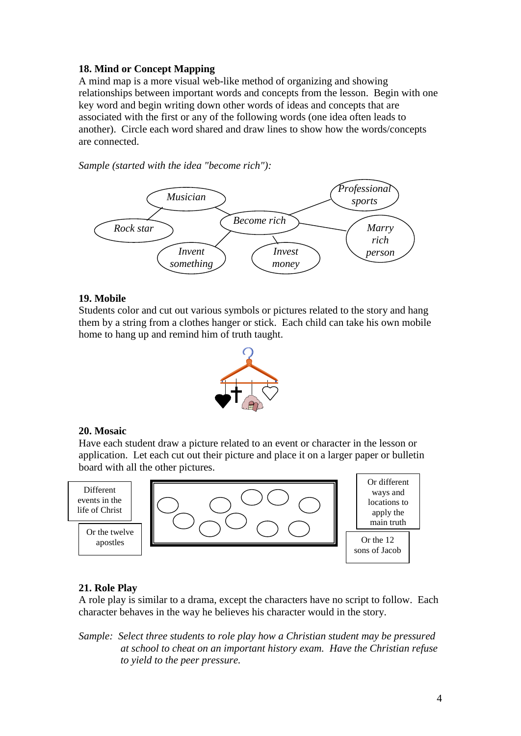## **18. Mind or Concept Mapping**

A mind map is a more visual web-like method of organizing and showing relationships between important words and concepts from the lesson. Begin with one key word and begin writing down other words of ideas and concepts that are associated with the first or any of the following words (one idea often leads to another). Circle each word shared and draw lines to show how the words/concepts are connected.

*Sample (started with the idea "become rich"):*



#### **19. Mobile**

Students color and cut out various symbols or pictures related to the story and hang them by a string from a clothes hanger or stick. Each child can take his own mobile home to hang up and remind him of truth taught.



#### **20. Mosaic**

Have each student draw a picture related to an event or character in the lesson or application. Let each cut out their picture and place it on a larger paper or bulletin board with all the other pictures.



#### **21. Role Play**

A role play is similar to a drama, except the characters have no script to follow. Each character behaves in the way he believes his character would in the story.

*Sample: Select three students to role play how a Christian student may be pressured at school to cheat on an important history exam. Have the Christian refuse to yield to the peer pressure.*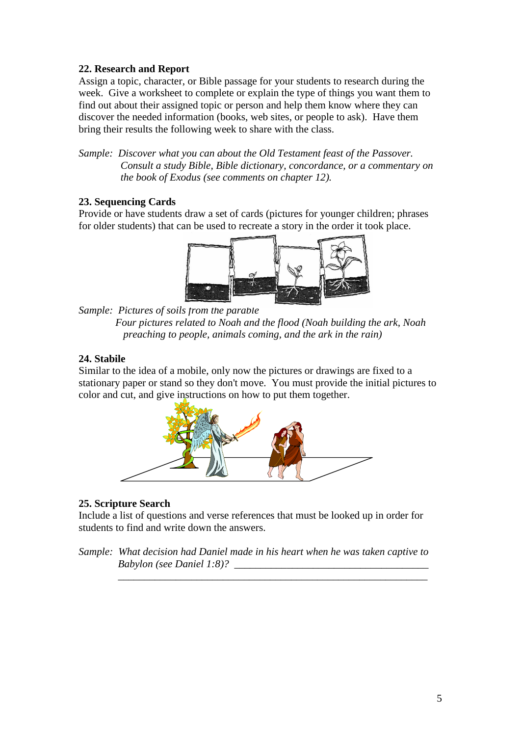## **22. Research and Report**

Assign a topic, character, or Bible passage for your students to research during the week. Give a worksheet to complete or explain the type of things you want them to find out about their assigned topic or person and help them know where they can discover the needed information (books, web sites, or people to ask). Have them bring their results the following week to share with the class.

*Sample: Discover what you can about the Old Testament feast of the Passover. Consult a study Bible, Bible dictionary, concordance, or a commentary on the book of Exodus (see comments on chapter 12).*

# **23. Sequencing Cards**

Provide or have students draw a set of cards (pictures for younger children; phrases for older students) that can be used to recreate a story in the order it took place.



*Sample: Pictures of soils from the parable Four pictures related to Noah and the flood (Noah building the ark, Noah preaching to people, animals coming, and the ark in the rain)*

## **24. Stabile**

Similar to the idea of a mobile, only now the pictures or drawings are fixed to a stationary paper or stand so they don't move. You must provide the initial pictures to color and cut, and give instructions on how to put them together.



## **25. Scripture Search**

Include a list of questions and verse references that must be looked up in order for students to find and write down the answers.

*Sample: What decision had Daniel made in his heart when he was taken captive to Babylon (see Daniel 1:8)? \_\_\_\_\_\_\_\_\_\_\_\_\_\_\_\_\_\_\_\_\_\_\_\_\_\_\_\_\_\_\_\_\_\_\_\_\_*

 *\_\_\_\_\_\_\_\_\_\_\_\_\_\_\_\_\_\_\_\_\_\_\_\_\_\_\_\_\_\_\_\_\_\_\_\_\_\_\_\_\_\_\_\_\_\_\_\_\_\_\_\_\_\_\_\_\_\_\_*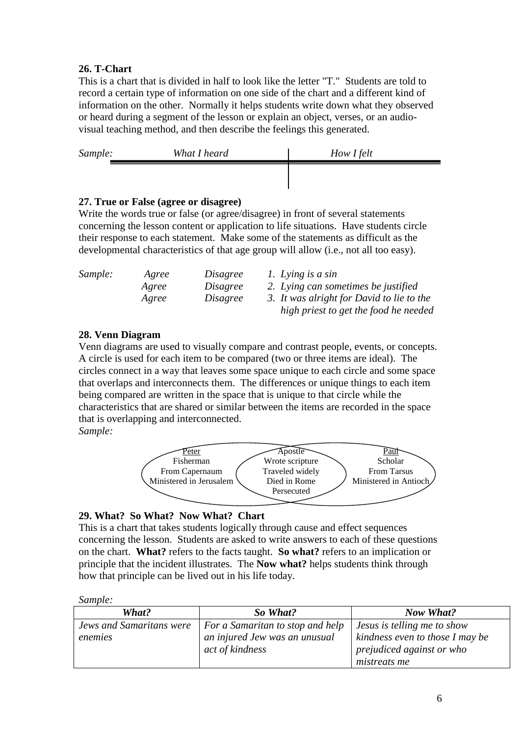# **26. T-Chart**

This is a chart that is divided in half to look like the letter "T." Students are told to record a certain type of information on one side of the chart and a different kind of information on the other. Normally it helps students write down what they observed or heard during a segment of the lesson or explain an object, verses, or an audiovisual teaching method, and then describe the feelings this generated.

| Sample: | What I heard | How I felt |
|---------|--------------|------------|
|         |              |            |

## **27. True or False (agree or disagree)**

Write the words true or false (or agree/disagree) in front of several statements concerning the lesson content or application to life situations. Have students circle their response to each statement. Make some of the statements as difficult as the developmental characteristics of that age group will allow (i.e., not all too easy).

| Sample: | Agree | Disagree | 1. Lying is a sin                         |
|---------|-------|----------|-------------------------------------------|
|         | Agree | Disagree | 2. Lying can sometimes be justified       |
|         | Agree | Disagree | 3. It was alright for David to lie to the |
|         |       |          | high priest to get the food he needed     |

# **28. Venn Diagram**

Venn diagrams are used to visually compare and contrast people, events, or concepts. A circle is used for each item to be compared (two or three items are ideal). The circles connect in a way that leaves some space unique to each circle and some space that overlaps and interconnects them. The differences or unique things to each item being compared are written in the space that is unique to that circle while the characteristics that are shared or similar between the items are recorded in the space that is overlapping and interconnected.

*Sample:*



# **29. What? So What? Now What? Chart**

This is a chart that takes students logically through cause and effect sequences concerning the lesson. Students are asked to write answers to each of these questions on the chart. **What?** refers to the facts taught. **So what?** refers to an implication or principle that the incident illustrates. The **Now what?** helps students think through how that principle can be lived out in his life today.

*Sample:* 

| What?                    | So What?                                         | <b>Now What?</b>                                             |  |  |
|--------------------------|--------------------------------------------------|--------------------------------------------------------------|--|--|
| Jews and Samaritans were | For a Samaritan to stop and help                 | Jesus is telling me to show                                  |  |  |
| enemies                  | an injured Jew was an unusual<br>act of kindness | kindness even to those I may be<br>prejudiced against or who |  |  |
|                          |                                                  | <i>mistreats me</i>                                          |  |  |